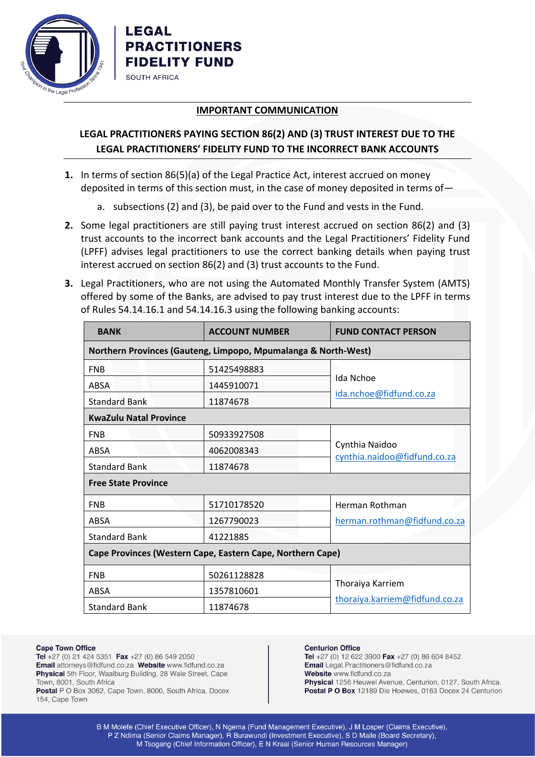

LEGAL

**SOUTH AFRICA** 

**PRACTITIONERS FIDELITY FUND** 

## **IMPORTANT COMMUNICATION**

## **LEGAL PRACTITIONERS PAYING SECTION 86(2) AND (3) TRUST INTEREST DUE TO THE LEGAL PRACTITIONERS' FIDELITY FUND TO THE INCORRECT BANK ACCOUNTS**

- **1.** In terms of section 86(5)(a) of the Legal Practice Act, interest accrued on money deposited in terms of this section must, in the case of money deposited in terms of
	- a. subsections (2) and (3), be paid over to the Fund and vests in the Fund.
- **2.** Some legal practitioners are still paying trust interest accrued on section 86(2) and (3) trust accounts to the incorrect bank accounts and the Legal Practitioners' Fidelity Fund (LPFF) advises legal practitioners to use the correct banking details when paying trust interest accrued on section 86(2) and (3) trust accounts to the Fund.
- **3.** Legal Practitioners, who are not using the Automated Monthly Transfer System (AMTS) offered by some of the Banks, are advised to pay trust interest due to the LPFF in terms of Rules 54.14.16.1 and 54.14.16.3 using the following banking accounts:

| <b>BANK</b>                                                    | <b>ACCOUNT NUMBER</b> | <b>FUND CONTACT PERSON</b>                     |
|----------------------------------------------------------------|-----------------------|------------------------------------------------|
| Northern Provinces (Gauteng, Limpopo, Mpumalanga & North-West) |                       |                                                |
| <b>FNB</b>                                                     | 51425498883           |                                                |
| ABSA                                                           | 1445910071            | Ida Nchoe                                      |
| <b>Standard Bank</b>                                           | 11874678              | ida.nchoe@fidfund.co.za                        |
| <b>KwaZulu Natal Province</b>                                  |                       |                                                |
| <b>FNB</b>                                                     | 50933927508           |                                                |
| ABSA                                                           | 4062008343            | Cynthia Naidoo<br>cynthia.naidoo@fidfund.co.za |
| <b>Standard Bank</b>                                           | 11874678              |                                                |
| <b>Free State Province</b>                                     |                       |                                                |
| <b>FNB</b>                                                     | 51710178520           | Herman Rothman                                 |
| <b>ABSA</b>                                                    | 1267790023            | herman.rothman@fidfund.co.za                   |
| <b>Standard Bank</b>                                           | 41221885              |                                                |
| Cape Provinces (Western Cape, Eastern Cape, Northern Cape)     |                       |                                                |
| <b>FNB</b>                                                     | 50261128828           | Thoraiya Karriem                               |
| ABSA                                                           | 1357810601            |                                                |
| <b>Standard Bank</b>                                           | 11874678              | thoraiya.karriem@fidfund.co.za                 |

## **Cape Town Office**

Tel +27 (0) 21 424 5351 Fax +27 (0) 86 549 2050 Email attorneys@fidfund.co.za Website www.fidfund.co.za Physical 5th Floor, Waalburg Building, 28 Wale Street, Cape Town, 8001, South Africa Postal P O Box 3062, Cape Town, 8000, South Africa, Docex

154, Cape Town

## **Centurion Office**

Tel +27 (0) 12 622 3900 Fax +27 (0) 86 604 8452 Email Legal.Practitioners@fidfund.co.za Website www.fidfund.co.za Physical 1256 Heuwel Avenue, Centurion, 0127, South Africa. Postal P O Box 12189 Die Hoewes, 0163 Docex 24 Centurion

B M Molefe (Chief Executive Officer), N Ngema (Fund Management Executive), J M Losper (Claims Executive), P Z Ndima (Senior Claims Manager), R Burawundi (Investment Executive), S D Maile (Board Secretary), M Tsogang (Chief Information Officer), E N Kraai (Senior Human Resources Manager)